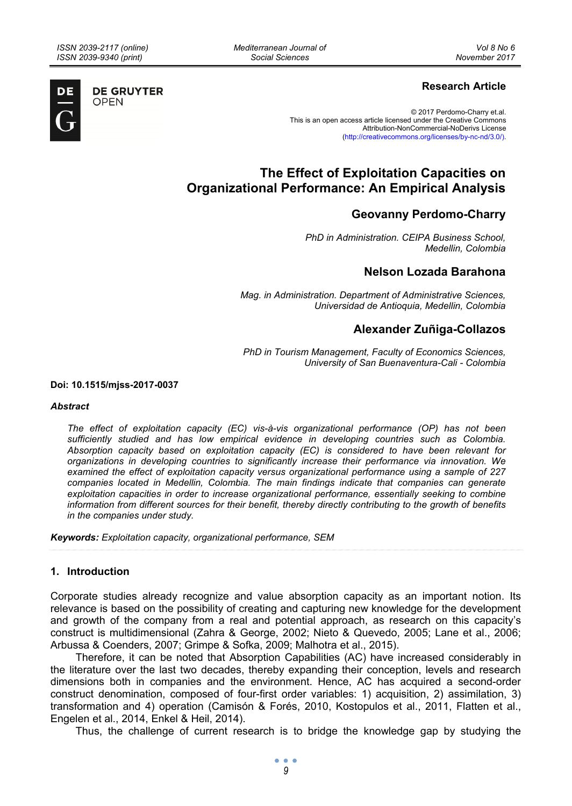*Mediterranean Journal of Social Sciences* 



**DE GRUYTER OPEN** 

## **Research Article**

© 2017 Perdomo-Charry et.al. This is an open access article licensed under the Creative Commons Attribution-NonCommercial-NoDerivs License (http://creativecommons.org/licenses/by-nc-nd/3.0/).

# **The Effect of Exploitation Capacities on Organizational Performance: An Empirical Analysis**

# **Geovanny Perdomo-Charry**

*PhD in Administration. CEIPA Business School, Medellin, Colombia* 

### **Nelson Lozada Barahona**

*Mag. in Administration. Department of Administrative Sciences, Universidad de Antioquia, Medellin, Colombia* 

# **Alexander Zuñiga-Collazos**

*PhD in Tourism Management, Faculty of Economics Sciences, University of San Buenaventura-Cali - Colombia* 

**Doi: 10.1515/mjss-2017-0037** 

#### *Abstract*

*The effect of exploitation capacity (EC) vis-à-vis organizational performance (OP) has not been sufficiently studied and has low empirical evidence in developing countries such as Colombia. Absorption capacity based on exploitation capacity (EC) is considered to have been relevant for organizations in developing countries to significantly increase their performance via innovation. We examined the effect of exploitation capacity versus organizational performance using a sample of 227 companies located in Medellin, Colombia. The main findings indicate that companies can generate exploitation capacities in order to increase organizational performance, essentially seeking to combine information from different sources for their benefit, thereby directly contributing to the growth of benefits in the companies under study.* 

*Keywords: Exploitation capacity, organizational performance, SEM* 

#### **1. Introduction**

Corporate studies already recognize and value absorption capacity as an important notion. Its relevance is based on the possibility of creating and capturing new knowledge for the development and growth of the company from a real and potential approach, as research on this capacity's construct is multidimensional (Zahra & George, 2002; Nieto & Quevedo, 2005; Lane et al., 2006; Arbussa & Coenders, 2007; Grimpe & Sofka, 2009; Malhotra et al., 2015).

Therefore, it can be noted that Absorption Capabilities (AC) have increased considerably in the literature over the last two decades, thereby expanding their conception, levels and research dimensions both in companies and the environment. Hence, AC has acquired a second-order construct denomination, composed of four-first order variables: 1) acquisition, 2) assimilation, 3) transformation and 4) operation (Camisón & Forés, 2010, Kostopulos et al., 2011, Flatten et al., Engelen et al., 2014, Enkel & Heil, 2014).

Thus, the challenge of current research is to bridge the knowledge gap by studying the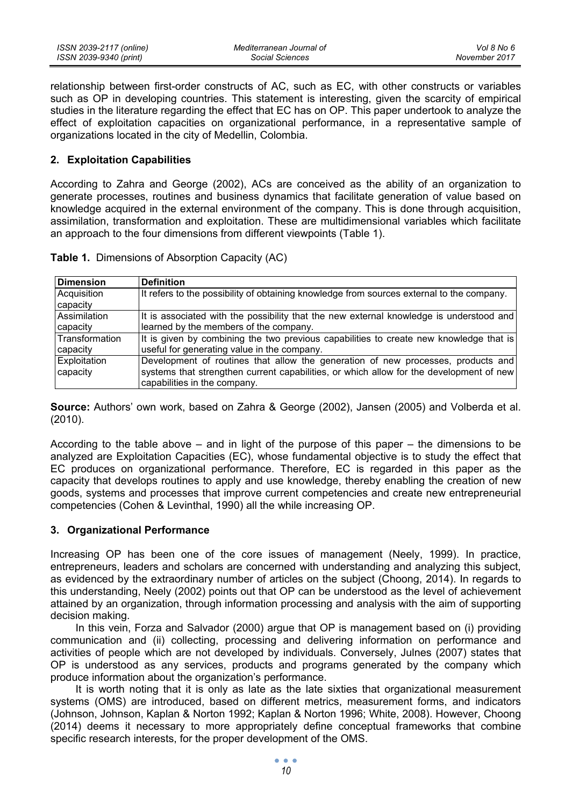relationship between first-order constructs of AC, such as EC, with other constructs or variables such as OP in developing countries. This statement is interesting, given the scarcity of empirical studies in the literature regarding the effect that EC has on OP. This paper undertook to analyze the effect of exploitation capacities on organizational performance, in a representative sample of organizations located in the city of Medellin, Colombia.

### **2. Exploitation Capabilities**

According to Zahra and George (2002), ACs are conceived as the ability of an organization to generate processes, routines and business dynamics that facilitate generation of value based on knowledge acquired in the external environment of the company. This is done through acquisition, assimilation, transformation and exploitation. These are multidimensional variables which facilitate an approach to the four dimensions from different viewpoints (Table 1).

| <b>Dimension</b>                | <b>Definition</b>                                                                                                                                                                                           |
|---------------------------------|-------------------------------------------------------------------------------------------------------------------------------------------------------------------------------------------------------------|
| Acquisition<br>capacity         | It refers to the possibility of obtaining knowledge from sources external to the company.                                                                                                                   |
| Assimilation<br>capacity        | It is associated with the possibility that the new external knowledge is understood and<br>learned by the members of the company.                                                                           |
| Transformation<br>capacity      | It is given by combining the two previous capabilities to create new knowledge that is<br>useful for generating value in the company.                                                                       |
| <b>Exploitation</b><br>capacity | Development of routines that allow the generation of new processes, products and<br>systems that strengthen current capabilities, or which allow for the development of new<br>capabilities in the company. |

**Table 1.** Dimensions of Absorption Capacity (AC)

**Source:** Authors' own work, based on Zahra & George (2002), Jansen (2005) and Volberda et al. (2010).

According to the table above – and in light of the purpose of this paper – the dimensions to be analyzed are Exploitation Capacities (EC), whose fundamental objective is to study the effect that EC produces on organizational performance. Therefore, EC is regarded in this paper as the capacity that develops routines to apply and use knowledge, thereby enabling the creation of new goods, systems and processes that improve current competencies and create new entrepreneurial competencies (Cohen & Levinthal, 1990) all the while increasing OP.

#### **3. Organizational Performance**

Increasing OP has been one of the core issues of management (Neely, 1999). In practice, entrepreneurs, leaders and scholars are concerned with understanding and analyzing this subject, as evidenced by the extraordinary number of articles on the subject (Choong, 2014). In regards to this understanding, Neely (2002) points out that OP can be understood as the level of achievement attained by an organization, through information processing and analysis with the aim of supporting decision making.

In this vein, Forza and Salvador (2000) argue that OP is management based on (i) providing communication and (ii) collecting, processing and delivering information on performance and activities of people which are not developed by individuals. Conversely, Julnes (2007) states that OP is understood as any services, products and programs generated by the company which produce information about the organization's performance.

It is worth noting that it is only as late as the late sixties that organizational measurement systems (OMS) are introduced, based on different metrics, measurement forms, and indicators (Johnson, Johnson, Kaplan & Norton 1992; Kaplan & Norton 1996; White, 2008). However, Choong (2014) deems it necessary to more appropriately define conceptual frameworks that combine specific research interests, for the proper development of the OMS.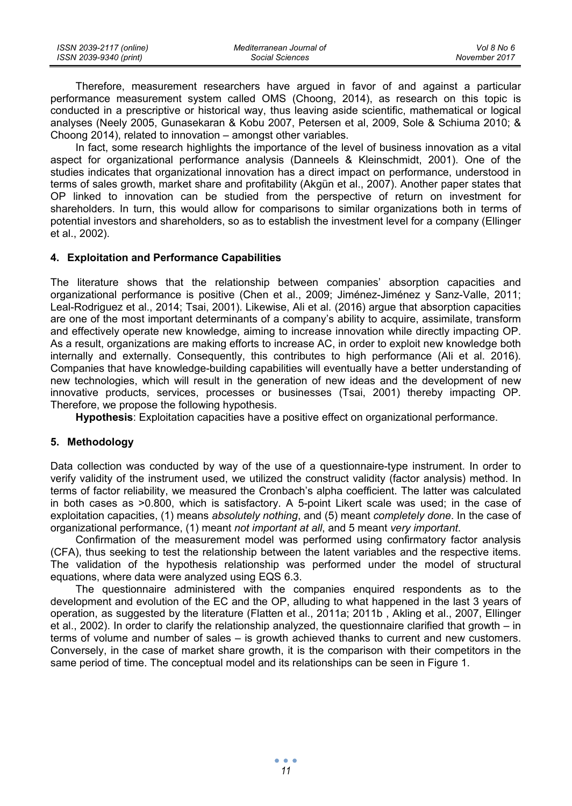| ISSN 2039-2117 (online) | Mediterranean Journal of | Vol 8 No 6    |
|-------------------------|--------------------------|---------------|
| ISSN 2039-9340 (print)  | Social Sciences          | November 2017 |

Therefore, measurement researchers have argued in favor of and against a particular performance measurement system called OMS (Choong, 2014), as research on this topic is conducted in a prescriptive or historical way, thus leaving aside scientific, mathematical or logical analyses (Neely 2005, Gunasekaran & Kobu 2007, Petersen et al, 2009, Sole & Schiuma 2010; & Choong 2014), related to innovation – amongst other variables.

In fact, some research highlights the importance of the level of business innovation as a vital aspect for organizational performance analysis (Danneels & Kleinschmidt, 2001). One of the studies indicates that organizational innovation has a direct impact on performance, understood in terms of sales growth, market share and profitability (Akgün et al., 2007). Another paper states that OP linked to innovation can be studied from the perspective of return on investment for shareholders. In turn, this would allow for comparisons to similar organizations both in terms of potential investors and shareholders, so as to establish the investment level for a company (Ellinger et al., 2002).

#### **4. Exploitation and Performance Capabilities**

The literature shows that the relationship between companies' absorption capacities and organizational performance is positive (Chen et al., 2009; Jiménez-Jiménez y Sanz-Valle, 2011; Leal-Rodriguez et al., 2014; Tsai, 2001). Likewise, Ali et al. (2016) argue that absorption capacities are one of the most important determinants of a company's ability to acquire, assimilate, transform and effectively operate new knowledge, aiming to increase innovation while directly impacting OP. As a result, organizations are making efforts to increase AC, in order to exploit new knowledge both internally and externally. Consequently, this contributes to high performance (Ali et al. 2016). Companies that have knowledge-building capabilities will eventually have a better understanding of new technologies, which will result in the generation of new ideas and the development of new innovative products, services, processes or businesses (Tsai, 2001) thereby impacting OP. Therefore, we propose the following hypothesis.

**Hypothesis**: Exploitation capacities have a positive effect on organizational performance.

### **5. Methodology**

Data collection was conducted by way of the use of a questionnaire-type instrument. In order to verify validity of the instrument used, we utilized the construct validity (factor analysis) method. In terms of factor reliability, we measured the Cronbach's alpha coefficient. The latter was calculated in both cases as >0.800, which is satisfactory. A 5-point Likert scale was used; in the case of exploitation capacities, (1) means *absolutely nothing*, and (5) meant *completely done*. In the case of organizational performance, (1) meant *not important at all*, and 5 meant *very important*.

Confirmation of the measurement model was performed using confirmatory factor analysis (CFA), thus seeking to test the relationship between the latent variables and the respective items. The validation of the hypothesis relationship was performed under the model of structural equations, where data were analyzed using EQS 6.3.

The questionnaire administered with the companies enquired respondents as to the development and evolution of the EC and the OP, alluding to what happened in the last 3 years of operation, as suggested by the literature (Flatten et al., 2011a; 2011b , Akling et al., 2007, Ellinger et al., 2002). In order to clarify the relationship analyzed, the questionnaire clarified that growth – in terms of volume and number of sales – is growth achieved thanks to current and new customers. Conversely, in the case of market share growth, it is the comparison with their competitors in the same period of time. The conceptual model and its relationships can be seen in Figure 1.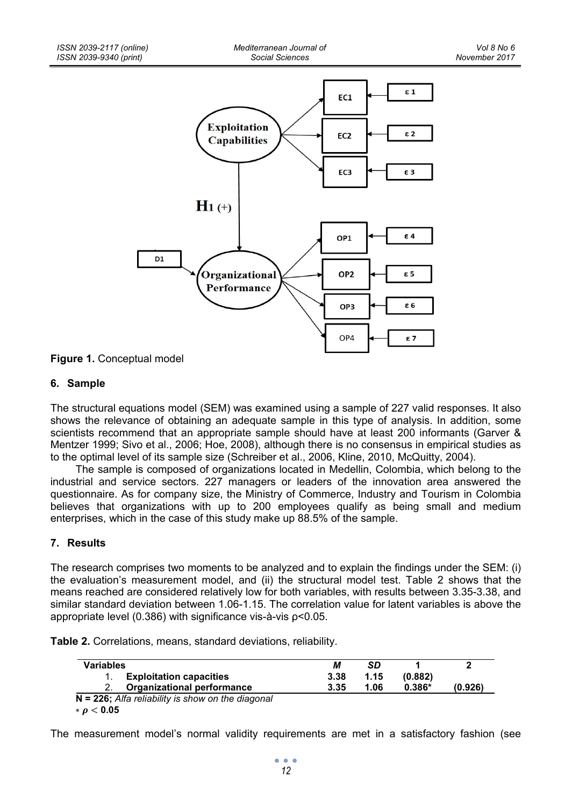

### **Figure 1.** Conceptual model

### **6. Sample**

The structural equations model (SEM) was examined using a sample of 227 valid responses. It also shows the relevance of obtaining an adequate sample in this type of analysis. In addition, some scientists recommend that an appropriate sample should have at least 200 informants (Garver & Mentzer 1999; Sivo et al., 2006; Hoe, 2008), although there is no consensus in empirical studies as to the optimal level of its sample size (Schreiber et al., 2006, Kline, 2010, McQuitty, 2004).

The sample is composed of organizations located in Medellin, Colombia, which belong to the industrial and service sectors. 227 managers or leaders of the innovation area answered the questionnaire. As for company size, the Ministry of Commerce, Industry and Tourism in Colombia believes that organizations with up to 200 employees qualify as being small and medium enterprises, which in the case of this study make up 88.5% of the sample.

### **7. Results**

The research comprises two moments to be analyzed and to explain the findings under the SEM: (i) the evaluation's measurement model, and (ii) the structural model test. Table 2 shows that the means reached are considered relatively low for both variables, with results between 3.35-3.38, and similar standard deviation between 1.06-1.15. The correlation value for latent variables is above the appropriate level (0.386) with significance vis-à-vis ρ<0.05.

| Table 2. Correlations, means, standard deviations, reliability. |  |  |  |
|-----------------------------------------------------------------|--|--|--|
|-----------------------------------------------------------------|--|--|--|

| <b>Variables</b>                                     | М    | SD   |          |         |
|------------------------------------------------------|------|------|----------|---------|
| <b>Exploitation capacities</b>                       | 3.38 | 1.15 | (0.882)  |         |
| <b>Organizational performance</b>                    | 3.35 | 1.06 | $0.386*$ | (0.926) |
| $N = 226$ ; Alfa reliability is show on the diagonal |      |      |          |         |
| $* \rho < 0.05$                                      |      |      |          |         |

The measurement model's normal validity requirements are met in a satisfactory fashion (see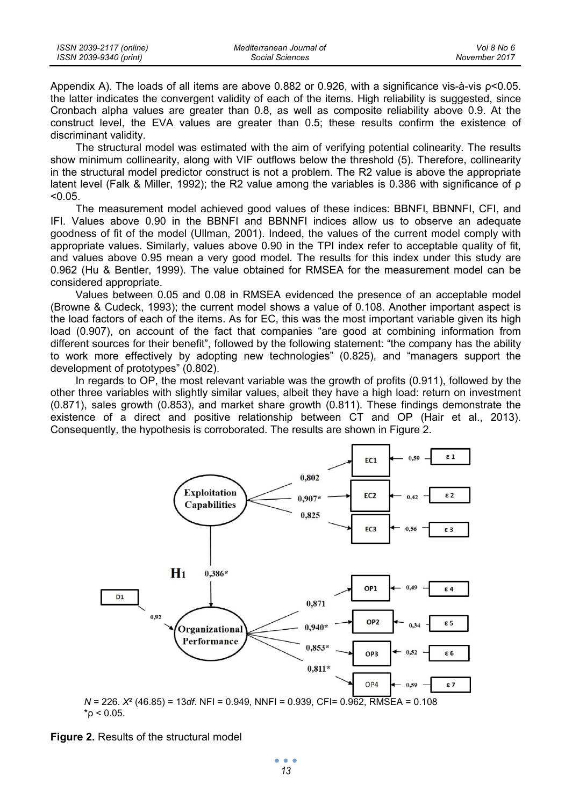Appendix A). The loads of all items are above 0.882 or 0.926, with a significance vis-à-vis ρ<0.05. the latter indicates the convergent validity of each of the items. High reliability is suggested, since Cronbach alpha values are greater than 0.8, as well as composite reliability above 0.9. At the construct level, the EVA values are greater than 0.5; these results confirm the existence of discriminant validity.

The structural model was estimated with the aim of verifying potential colinearity. The results show minimum collinearity, along with VIF outflows below the threshold (5). Therefore, collinearity in the structural model predictor construct is not a problem. The R2 value is above the appropriate latent level (Falk & Miller, 1992); the R2 value among the variables is 0.386 with significance of ρ  $< 0.05$ .

The measurement model achieved good values of these indices: BBNFI, BBNNFI, CFI, and IFI. Values above 0.90 in the BBNFI and BBNNFI indices allow us to observe an adequate goodness of fit of the model (Ullman, 2001). Indeed, the values of the current model comply with appropriate values. Similarly, values above 0.90 in the TPI index refer to acceptable quality of fit, and values above 0.95 mean a very good model. The results for this index under this study are 0.962 (Hu & Bentler, 1999). The value obtained for RMSEA for the measurement model can be considered appropriate.

Values between 0.05 and 0.08 in RMSEA evidenced the presence of an acceptable model (Browne & Cudeck, 1993); the current model shows a value of 0.108. Another important aspect is the load factors of each of the items. As for EC, this was the most important variable given its high load (0.907), on account of the fact that companies "are good at combining information from different sources for their benefit", followed by the following statement: "the company has the ability to work more effectively by adopting new technologies" (0.825), and "managers support the development of prototypes" (0.802).

In regards to OP, the most relevant variable was the growth of profits (0.911), followed by the other three variables with slightly similar values, albeit they have a high load: return on investment (0.871), sales growth (0.853), and market share growth (0.811). These findings demonstrate the existence of a direct and positive relationship between CT and OP (Hair et al., 2013). Consequently, the hypothesis is corroborated. The results are shown in Figure 2.



**Figure 2.** Results of the structural model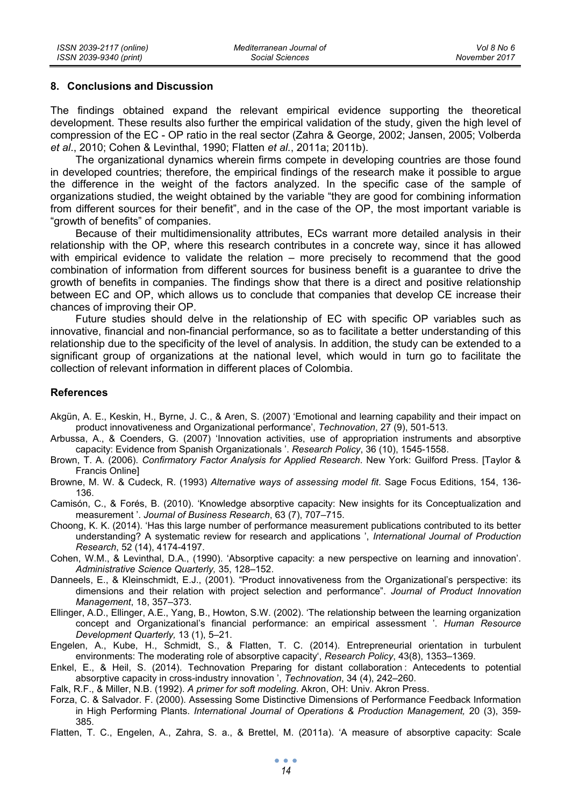#### **8. Conclusions and Discussion**

The findings obtained expand the relevant empirical evidence supporting the theoretical development. These results also further the empirical validation of the study, given the high level of compression of the EC - OP ratio in the real sector (Zahra & George, 2002; Jansen, 2005; Volberda *et al*., 2010; Cohen & Levinthal, 1990; Flatten *et al.*, 2011a; 2011b).

The organizational dynamics wherein firms compete in developing countries are those found in developed countries; therefore, the empirical findings of the research make it possible to argue the difference in the weight of the factors analyzed. In the specific case of the sample of organizations studied, the weight obtained by the variable "they are good for combining information from different sources for their benefit", and in the case of the OP, the most important variable is "growth of benefits" of companies.

Because of their multidimensionality attributes, ECs warrant more detailed analysis in their relationship with the OP, where this research contributes in a concrete way, since it has allowed with empirical evidence to validate the relation – more precisely to recommend that the good combination of information from different sources for business benefit is a guarantee to drive the growth of benefits in companies. The findings show that there is a direct and positive relationship between EC and OP, which allows us to conclude that companies that develop CE increase their chances of improving their OP.

Future studies should delve in the relationship of EC with specific OP variables such as innovative, financial and non-financial performance, so as to facilitate a better understanding of this relationship due to the specificity of the level of analysis. In addition, the study can be extended to a significant group of organizations at the national level, which would in turn go to facilitate the collection of relevant information in different places of Colombia.

#### **References**

- Akgün, A. E., Keskin, H., Byrne, J. C., & Aren, S. (2007) 'Emotional and learning capability and their impact on product innovativeness and Organizational performance', *Technovation*, 27 (9), 501-513.
- Arbussa, A., & Coenders, G. (2007) 'Innovation activities, use of appropriation instruments and absorptive capacity: Evidence from Spanish Organizationals '. *Research Policy*, 36 (10), 1545-1558.
- Brown, T. A. (2006). *Confirmatory Factor Analysis for Applied Research*. New York: Guilford Press. [Taylor & Francis Online]
- Browne, M. W. & Cudeck, R. (1993) *Alternative ways of assessing model fit*. Sage Focus Editions, 154, 136- 136.

Camisón, C., & Forés, B. (2010). 'Knowledge absorptive capacity: New insights for its Conceptualization and measurement '. *Journal of Business Research*, 63 (7), 707–715.

Choong, K. K. (2014). 'Has this large number of performance measurement publications contributed to its better understanding? A systematic review for research and applications ', *International Journal of Production Research*, 52 (14), 4174-4197.

Cohen, W.M., & Levinthal, D.A., (1990). 'Absorptive capacity: a new perspective on learning and innovation'. *Administrative Science Quarterly,* 35, 128–152.

- Danneels, E., & Kleinschmidt, E.J., (2001). "Product innovativeness from the Organizational's perspective: its dimensions and their relation with project selection and performance". *Journal of Product Innovation Management*, 18, 357–373.
- Ellinger, A.D., Ellinger, A.E., Yang, B., Howton, S.W. (2002). 'The relationship between the learning organization concept and Organizational's financial performance: an empirical assessment '. *Human Resource Development Quarterly,* 13 (1), 5–21.
- Engelen, A., Kube, H., Schmidt, S., & Flatten, T. C. (2014). Entrepreneurial orientation in turbulent environments: The moderating role of absorptive capacity', *Research Policy*, 43(8), 1353–1369.
- Enkel, E., & Heil, S. (2014). Technovation Preparing for distant collaboration : Antecedents to potential absorptive capacity in cross-industry innovation ', *Technovation*, 34 (4), 242–260.
- Falk, R.F., & Miller, N.B. (1992). *A primer for soft modeling*. Akron, OH: Univ. Akron Press.
- Forza, C. & Salvador. F. (2000). Assessing Some Distinctive Dimensions of Performance Feedback Information in High Performing Plants. *International Journal of Operations & Production Management,* 20 (3), 359- 385.
- Flatten, T. C., Engelen, A., Zahra, S. a., & Brettel, M. (2011a). 'A measure of absorptive capacity: Scale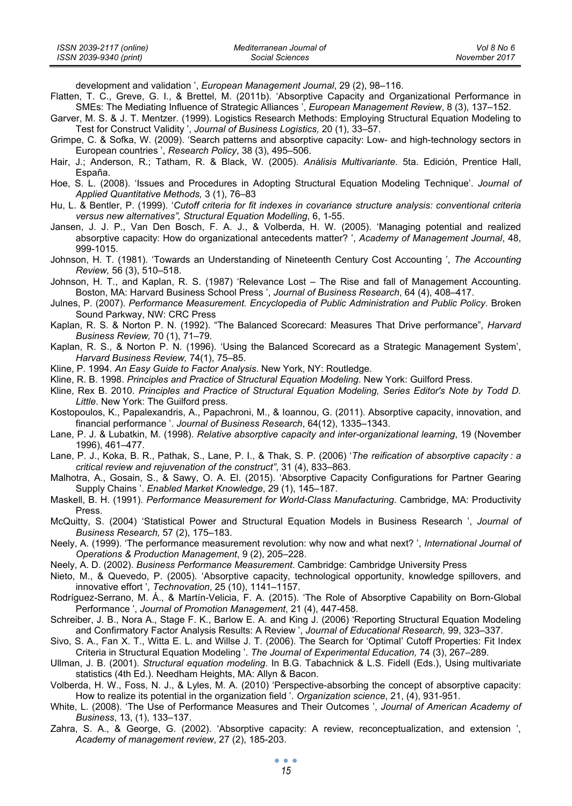| ISSN 2039-2117 (online) | Mediterranean Journal of | Vol 8 No 6    |
|-------------------------|--------------------------|---------------|
| ISSN 2039-9340 (print)  | Social Sciences          | November 2017 |

development and validation ', *European Management Journal*, 29 (2), 98–116.

- Flatten, T. C., Greve, G. I., & Brettel, M. (2011b). 'Absorptive Capacity and Organizational Performance in SMEs: The Mediating Influence of Strategic Alliances ', *European Management Review*, 8 (3), 137–152.
- Garver, M. S. & J. T. Mentzer. (1999). Logistics Research Methods: Employing Structural Equation Modeling to Test for Construct Validity ', *Journal of Business Logistics,* 20 (1), 33–57.
- Grimpe, C. & Sofka, W. (2009). 'Search patterns and absorptive capacity: Low- and high-technology sectors in European countries ', *Research Policy*, 38 (3), 495–506.
- Hair, J.; Anderson, R.; Tatham, R. & Black, W. (2005). *Análisis Multivariante*. 5ta. Edición, Prentice Hall, España.
- Hoe, S. L. (2008). 'Issues and Procedures in Adopting Structural Equation Modeling Technique'. *Journal of Applied Quantitative Methods,* 3 (1), 76–83
- Hu, L. & Bentler, P. (1999). '*Cutoff criteria for fit indexes in covariance structure analysis: conventional criteria versus new alternatives", Structural Equation Modelling*, 6, 1-55.
- Jansen, J. J. P., Van Den Bosch, F. A. J., & Volberda, H. W. (2005). 'Managing potential and realized absorptive capacity: How do organizational antecedents matter? ', *Academy of Management Journal*, 48, 999-1015.
- Johnson, H. T. (1981). 'Towards an Understanding of Nineteenth Century Cost Accounting ', *The Accounting Review,* 56 (3), 510–518.
- Johnson, H. T., and Kaplan, R. S. (1987) 'Relevance Lost The Rise and fall of Management Accounting. Boston, MA: Harvard Business School Press ', *Journal of Business Research*, 64 (4), 408–417.
- Julnes, P. (2007). *Performance Measurement. Encyclopedia of Public Administration and Public Policy*. Broken Sound Parkway, NW: CRC Press
- Kaplan, R. S. & Norton P. N. (1992). "The Balanced Scorecard: Measures That Drive performance", *Harvard Business Review,* 70 (1), 71–79.
- Kaplan, R. S., & Norton P. N. (1996). 'Using the Balanced Scorecard as a Strategic Management System', *Harvard Business Review,* 74(1), 75–85.
- Kline, P. 1994. *An Easy Guide to Factor Analysis*. New York, NY: Routledge.
- Kline, R. B. 1998. *Principles and Practice of Structural Equation Modeling*. New York: Guilford Press.
- Kline, Rex B. 2010. *Principles and Practice of Structural Equation Modeling, Series Editor's Note by Todd D. Little*. New York: The Guilford press.
- Kostopoulos, K., Papalexandris, A., Papachroni, M., & Ioannou, G. (2011). Absorptive capacity, innovation, and financial performance '. *Journal of Business Research*, 64(12), 1335–1343.
- Lane, P. J. & Lubatkin, M. (1998). *Relative absorptive capacity and inter-organizational learning*, 19 (November 1996), 461–477.
- Lane, P. J., Koka, B. R., Pathak, S., Lane, P. I., & Thak, S. P. (2006) '*The reification of absorptive capacity : a critical review and rejuvenation of the construct"*, 31 (4), 833–863.
- Malhotra, A., Gosain, S., & Sawy, O. A. El. (2015). 'Absorptive Capacity Configurations for Partner Gearing Supply Chains '. *Enabled Market Knowledge*, 29 (1), 145–187.
- Maskell, B. H. (1991). *Performance Measurement for World-Class Manufacturing*. Cambridge, MA: Productivity Press.
- McQuitty, S. (2004) 'Statistical Power and Structural Equation Models in Business Research ', *Journal of Business Research,* 57 (2), 175–183.
- Neely, A. (1999). 'The performance measurement revolution: why now and what next? ', *International Journal of Operations & Production Management*, 9 (2), 205–228.
- Neely, A. D. (2002). *Business Performance Measurement*. Cambridge: Cambridge University Press
- Nieto, M., & Quevedo, P. (2005). 'Absorptive capacity, technological opportunity, knowledge spillovers, and innovative effort ', *Technovation*, 25 (10), 1141–1157.
- Rodríguez-Serrano, M. Á., & Martín-Velicia, F. A. (2015). 'The Role of Absorptive Capability on Born-Global Performance ', *Journal of Promotion Management*, 21 (4), 447-458.
- Schreiber, J. B., Nora A., Stage F. K., Barlow E. A. and King J. (2006) 'Reporting Structural Equation Modeling and Confirmatory Factor Analysis Results: A Review ', *Journal of Educational Research,* 99, 323–337.
- Sivo, S. A., Fan X. T., Witta E. L. and Willse J. T. (2006). The Search for 'Optimal' Cutoff Properties: Fit Index Criteria in Structural Equation Modeling '. *The Journal of Experimental Education,* 74 (3), 267–289.
- Ullman, J. B. (2001). *Structural equation modeling*. In B.G. Tabachnick & L.S. Fidell (Eds.), Using multivariate statistics (4th Ed.). Needham Heights, MA: Allyn & Bacon.
- Volberda, H. W., Foss, N. J., & Lyles, M. A. (2010) 'Perspective-absorbing the concept of absorptive capacity: How to realize its potential in the organization field '. *Organization science*, 21, (4), 931-951.
- White, L. (2008). 'The Use of Performance Measures and Their Outcomes ', *Journal of American Academy of Business*, 13, (1), 133–137.
- Zahra, S. A., & George, G. (2002). 'Absorptive capacity: A review, reconceptualization, and extension ', *Academy of management review*, 27 (2), 185-203.